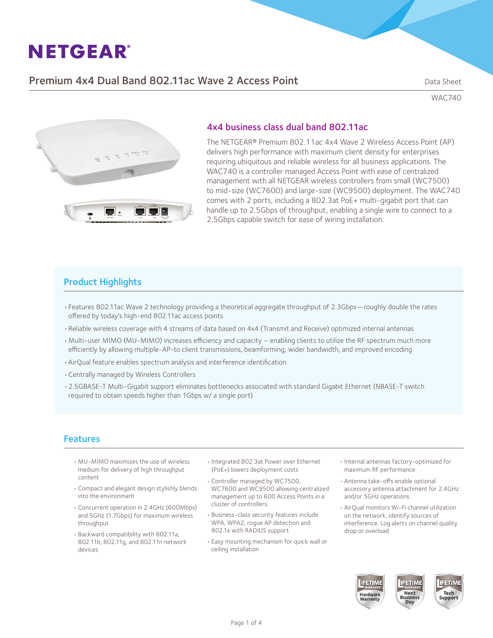## Premium 4x4 Dual Band 802.11ac Wave 2 Access Point Dragon Contains Data Sheet

WAC740



### 4x4 business class dual band 802.11ac

The NETGEAR® Premium 802.11ac 4x4 Wave 2 Wireless Access Point (AP) delivers high performance with maximum client density for enterprises requiring ubiquitous and reliable wireless for all business applications. The WAC740 is a controller managed Access Point with ease of centralized management with all NETGEAR wireless controllers from small (WC7500) to mid-size (WC7600) and large-size (WC9500) deployment. The WAC740 comes with 2 ports, including a 802.3at PoE+ multi-gigabit port that can handle up to 2.5Gbps of throughput, enabling a single wire to connect to a 2.5Gbps capable switch for ease of wiring installation.

### Product Highlights

- • Features 802.11ac Wave 2 technology providing a theoretical aggregate throughput of 2.3Gbps—roughly double the rates offered by today's high-end 802.11ac access points
- • Reliable wireless coverage with 4 streams of data based on 4x4 (Transmit and Receive) optimized internal antennas
- • Multi-user MIMO (MU-MIMO) increases efficiency and capacity enabling clients to utilize the RF spectrum much more efficiently by allowing multiple-AP-to client transmissions, beamforming, wider bandwidth, and improved encoding
- • AirQual feature enables spectrum analysis and interference identification
- • Centrally managed by Wireless Controllers
- • 2.5GBASE-T Multi-Gigabit support eliminates bottlenecks associated with standard Gigabit Ethernet (NBASE-T switch required to obtain speeds higher than 1Gbps w/ a single port)

### Features

- • MU-MIMO maximizes the use of wireless medium for delivery of high throughput content
- • Compact and elegant design stylishly blends into the environment
- • Concurrent operation in 2.4GHz (600Mbps) and 5GHz (1.7Gbps) for maximum wireless throughput
- • Backward compatibility with 802.11a, 802.11b, 802.11g, and 802.11n network devices
- • Integrated 802.3at Power over Ethernet (PoE+) lowers deployment costs
- • Controller managed by WC7500, WC7600 and WC9500 allowing centralized management up to 600 Access Points in a cluster of controllers.
- • Business-class security features include WPA, WPA2, rogue AP detection and 802.1x with RADIUS support
- • Easy mounting mechanism for quick wall or ceiling installation
- • Internal antennas factory-optimized for maximum RF performance
- • Antenna take-offs enable optional accessory antenna attachment for 2.4GHz and/or 5GHz operations
- AirQual monitors Wi-Fi channel utilization on the network, identify sources of interference. Log alerts on channel quality drop or overload

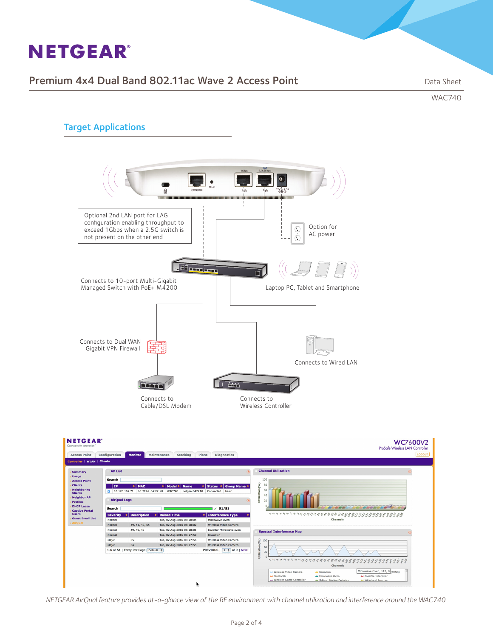## Premium 4x4 Dual Band 802.11ac Wave 2 Access Point Data Sheet

WAC740

## Target Applications



| <b>NETGEAR</b><br>Connect with Innovation'<br><b>Access Point</b>                                                                                                                                   | Configuration                                                                                                                                                                                                 | <b>Monitor</b>                              | Maintenance<br><b>Stacking</b> | Plans<br><b>Diagnostics</b> | <b>WC7600V2</b><br>ProSafe Wireless LAN Controller<br>LOGOUT                                                                                                                                                                                                                 |  |  |  |
|-----------------------------------------------------------------------------------------------------------------------------------------------------------------------------------------------------|---------------------------------------------------------------------------------------------------------------------------------------------------------------------------------------------------------------|---------------------------------------------|--------------------------------|-----------------------------|------------------------------------------------------------------------------------------------------------------------------------------------------------------------------------------------------------------------------------------------------------------------------|--|--|--|
| Controller WLAN Clients                                                                                                                                                                             |                                                                                                                                                                                                               |                                             |                                |                             |                                                                                                                                                                                                                                                                              |  |  |  |
| Summary                                                                                                                                                                                             | <b>AP List</b>                                                                                                                                                                                                |                                             |                                |                             | <b>Channel Utilization</b>                                                                                                                                                                                                                                                   |  |  |  |
| <b>Usage</b><br><b>Access Point</b>                                                                                                                                                                 | Search                                                                                                                                                                                                        |                                             |                                |                             | 100                                                                                                                                                                                                                                                                          |  |  |  |
| <b>Clients</b><br><b>Neighboring</b><br><b>Clients</b><br><b>Neighbor AP</b><br><b>Profiles</b><br><b>DHCP Lease</b><br><b>Captive Portal</b><br><b>Users</b><br><b>Guest Email List</b><br>AirQual | <b>Status</b><br>Group Name $\doteq$<br><b>MAC</b><br><b>IP</b><br><b>Model</b><br><b>Name</b><br>10.120.162.71<br>b0:7f:b9:64:22:a0 WAC740<br>netgear6422A8 Connected<br>basic<br><b>AirQual Logs</b><br>(2) |                                             |                                |                             | Utilization (%)<br>80<br>60<br>$\Delta$ f                                                                                                                                                                                                                                    |  |  |  |
|                                                                                                                                                                                                     | Search<br>51/51<br>✓                                                                                                                                                                                          |                                             |                                |                             |                                                                                                                                                                                                                                                                              |  |  |  |
|                                                                                                                                                                                                     | <b>Severity</b>                                                                                                                                                                                               | <b>Description</b>                          | <b>Raised Time</b>             | <b>Interference Type</b>    | くっつとってつのわけわかんもももももちゃものうちゃんなんなんでんちょうちもちも                                                                                                                                                                                                                                      |  |  |  |
|                                                                                                                                                                                                     | Normal                                                                                                                                                                                                        |                                             | Tue, 02 Aug 2016 03:28:05      | Microwave Oven              | <b>Channels</b>                                                                                                                                                                                                                                                              |  |  |  |
|                                                                                                                                                                                                     | <b>Normal</b>                                                                                                                                                                                                 | 49, 51, 49, 55                              | Tue, 02 Aug 2016 03:28:02      | Wireless Video Camera       |                                                                                                                                                                                                                                                                              |  |  |  |
|                                                                                                                                                                                                     | Normal                                                                                                                                                                                                        | 49, 49, 49                                  | Tue, 02 Aug 2016 03:28:01      | Inverter Microwave oven     | <b>Spectral Interference Map</b>                                                                                                                                                                                                                                             |  |  |  |
|                                                                                                                                                                                                     | Normal                                                                                                                                                                                                        |                                             | Tue, 02 Aug 2016 03:27:59      | <b>Unknown</b>              |                                                                                                                                                                                                                                                                              |  |  |  |
|                                                                                                                                                                                                     | Major                                                                                                                                                                                                         | 55                                          | Tue, 02 Aug 2016 03:27:56      | Wireless Video Camera       | 100                                                                                                                                                                                                                                                                          |  |  |  |
|                                                                                                                                                                                                     | Major                                                                                                                                                                                                         | 54                                          | Tue, 02 Aug 2016 03:27:55      | Wireless Video Camera       | 60                                                                                                                                                                                                                                                                           |  |  |  |
|                                                                                                                                                                                                     |                                                                                                                                                                                                               | 1-6 of 51   Entry Per Page   Default $\div$ |                                | PREVIOUS   1   of 9   NEXT  | Utilization(%)<br>30<br>$388889888$<br><b>Channels</b><br>Microwave Oven, 112, 0 rFHSS)<br>- Wireless Video Camera<br>A Unknown<br>A Possible Interferer<br>A Bluetooth<br>A Microwave Oven<br>A Wireless Game Controller<br>Ad S-Band Motion Detector<br>Ad Wideband Jammer |  |  |  |

*NETGEAR AirQual feature provides at-a-glance view of the RF environment with channel utilization and interference around the WAC740.*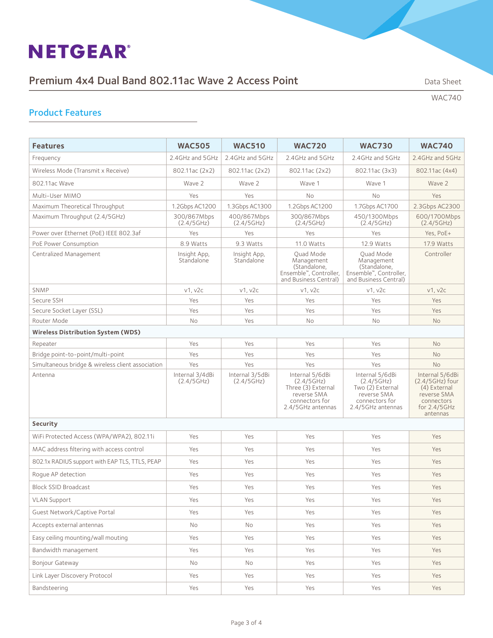## Premium 4x4 Dual Band 802.11ac Wave 2 Access Point Data Sheet Data Sheet

WAC740

## Product Features

| <b>Features</b>                                   | <b>WAC505</b>                 | <b>WAC510</b>                 | <b>WAC720</b>                                                                                             | <b>WAC730</b>                                                                                           | <b>WAC740</b>                                                                                                 |  |  |  |  |  |  |
|---------------------------------------------------|-------------------------------|-------------------------------|-----------------------------------------------------------------------------------------------------------|---------------------------------------------------------------------------------------------------------|---------------------------------------------------------------------------------------------------------------|--|--|--|--|--|--|
| Frequency                                         | 2.4GHz and 5GHz               | 2.4GHz and 5GHz               | 2.4GHz and 5GHz                                                                                           | 2.4GHz and 5GHz                                                                                         | 2.4GHz and 5GHz                                                                                               |  |  |  |  |  |  |
| Wireless Mode (Transmit x Receive)                | 802.11ac (2x2)                | 802.11ac (2x2)                | 802.11ac (2x2)                                                                                            | 802.11ac (3x3)                                                                                          | 802.11ac (4x4)                                                                                                |  |  |  |  |  |  |
| 802.11ac Wave                                     | Wave 2                        | Wave 2                        | Wave 1                                                                                                    | Wave 1                                                                                                  | Wave 2                                                                                                        |  |  |  |  |  |  |
| Multi-User MIMO                                   | Yes                           | Yes                           | No                                                                                                        | No                                                                                                      | Yes                                                                                                           |  |  |  |  |  |  |
| Maximum Theoretical Throughput                    | 1.2Gbps AC1200                | 1.3Gbps AC1300                | 1.2Gbps AC1200                                                                                            | 1.7Gbps AC1700                                                                                          | 2.3Gbps AC2300                                                                                                |  |  |  |  |  |  |
| Maximum Throughput (2.4/5GHz)                     | 300/867Mbps<br>(2.4/5GHz)     | 400/867Mbps<br>(2.4/5GHz)     | 300/867Mbps<br>(2.4/5GHz)                                                                                 | 450/1300Mbps<br>(2.4/5GHz)                                                                              | 600/1700Mbps<br>(2.4/5GHz)                                                                                    |  |  |  |  |  |  |
| Power over Ethernet (PoE) IEEE 802.3af            | Yes                           | Yes                           | Yes                                                                                                       | Yes                                                                                                     | Yes, PoE+                                                                                                     |  |  |  |  |  |  |
| PoE Power Consumption                             | 8.9 Watts                     | 9.3 Watts                     | 11.0 Watts                                                                                                | 12.9 Watts                                                                                              | 17.9 Watts                                                                                                    |  |  |  |  |  |  |
| Centralized Management                            | Insight App,<br>Standalone    | Insight App,<br>Standalone    | Quad Mode<br>Management<br>(Standalone,<br>Ensemble™, Controller,<br>and Business Central)                | Quad Mode<br>Management<br>(Standalone,<br>Ensemble™, Controller,<br>and Business Central)              | Controller                                                                                                    |  |  |  |  |  |  |
| SNMP                                              | v1, v2c                       | v1, v2c                       | v1, v2c                                                                                                   | v1, v2c                                                                                                 | v1, v2c                                                                                                       |  |  |  |  |  |  |
| Secure SSH                                        | Yes                           | Yes                           | Yes                                                                                                       | Yes                                                                                                     | Yes                                                                                                           |  |  |  |  |  |  |
| Secure Socket Layer (SSL)                         | Yes                           | Yes                           | Yes                                                                                                       | Yes                                                                                                     | Yes                                                                                                           |  |  |  |  |  |  |
| Router Mode                                       | No                            | Yes                           | No                                                                                                        | <b>No</b>                                                                                               | No                                                                                                            |  |  |  |  |  |  |
| <b>Wireless Distribution System (WDS)</b>         |                               |                               |                                                                                                           |                                                                                                         |                                                                                                               |  |  |  |  |  |  |
| Repeater                                          | Yes                           | Yes                           | Yes                                                                                                       | Yes                                                                                                     | <b>No</b>                                                                                                     |  |  |  |  |  |  |
| Bridge point-to-point/multi-point                 | Yes                           | Yes                           | Yes                                                                                                       | Yes                                                                                                     | No                                                                                                            |  |  |  |  |  |  |
| Simultaneous bridge & wireless client association | Yes                           | Yes                           | Yes                                                                                                       | Yes                                                                                                     | <b>No</b>                                                                                                     |  |  |  |  |  |  |
| Antenna                                           | Internal 3/4dBi<br>(2.4/5GHz) | Internal 3/5dBi<br>(2.4/5GHz) | Internal 5/6dBi<br>(2.4/5GHz)<br>Three (3) External<br>reverse SMA<br>connectors for<br>2.4/5GHz antennas | Internal 5/6dBi<br>(2.4/5GHz)<br>Two (2) External<br>reverse SMA<br>connectors for<br>2.4/5GHz antennas | Internal 5/6dBi<br>$(2.4/5GHz)$ four<br>(4) External<br>reverse SMA<br>connectors<br>for 2.4/5GHz<br>antennas |  |  |  |  |  |  |
| Security                                          |                               |                               |                                                                                                           |                                                                                                         |                                                                                                               |  |  |  |  |  |  |
| WiFi Protected Access (WPA/WPA2), 802.11i         | Yes                           | Yes                           | Yes                                                                                                       | Yes                                                                                                     | Yes                                                                                                           |  |  |  |  |  |  |
| MAC address filtering with access control         | Yes                           | Yes                           | Yes                                                                                                       | Yes                                                                                                     | Yes                                                                                                           |  |  |  |  |  |  |
| 802.1x RADIUS support with EAP TLS, TTLS, PEAP    | Yes                           | Yes                           | Yes                                                                                                       | Yes                                                                                                     | Yes                                                                                                           |  |  |  |  |  |  |
| Roque AP detection                                | Yes                           | Yes                           | Yes                                                                                                       | Yes                                                                                                     | Yes                                                                                                           |  |  |  |  |  |  |
| <b>Block SSID Broadcast</b>                       | Yes                           | Yes                           | Yes                                                                                                       | Yes                                                                                                     | Yes                                                                                                           |  |  |  |  |  |  |
| <b>VLAN Support</b>                               | Yes                           | Yes                           | Yes                                                                                                       | Yes                                                                                                     | Yes                                                                                                           |  |  |  |  |  |  |
| Guest Network/Captive Portal                      | Yes                           | Yes                           | Yes                                                                                                       | Yes                                                                                                     | Yes                                                                                                           |  |  |  |  |  |  |
| Accepts external antennas                         | No                            | No                            | Yes                                                                                                       | Yes                                                                                                     | Yes                                                                                                           |  |  |  |  |  |  |
| Easy ceiling mounting/wall mouting                | Yes                           | Yes                           | Yes                                                                                                       | Yes                                                                                                     | Yes                                                                                                           |  |  |  |  |  |  |
| Bandwidth management                              | Yes                           | Yes                           | Yes                                                                                                       | Yes                                                                                                     | Yes                                                                                                           |  |  |  |  |  |  |
| Bonjour Gateway                                   | No                            | No                            | Yes                                                                                                       | Yes                                                                                                     | Yes                                                                                                           |  |  |  |  |  |  |
| Link Layer Discovery Protocol                     | Yes                           | Yes                           | Yes                                                                                                       | Yes                                                                                                     | Yes                                                                                                           |  |  |  |  |  |  |
| Bandsteering                                      | Yes                           | Yes                           | Yes                                                                                                       | Yes                                                                                                     | Yes                                                                                                           |  |  |  |  |  |  |